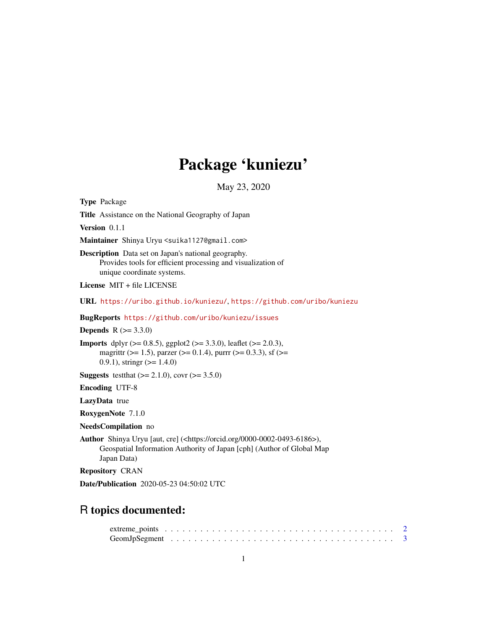# Package 'kuniezu'

May 23, 2020

<span id="page-0-0"></span>Type Package

Title Assistance on the National Geography of Japan

Version 0.1.1

Maintainer Shinya Uryu <suika1127@gmail.com>

Description Data set on Japan's national geography. Provides tools for efficient processing and visualization of unique coordinate systems.

License MIT + file LICENSE

URL <https://uribo.github.io/kuniezu/>, <https://github.com/uribo/kuniezu>

BugReports <https://github.com/uribo/kuniezu/issues>

**Depends**  $R (= 3.3.0)$ 

**Imports** dplyr ( $> = 0.8.5$ ), ggplot2 ( $> = 3.3.0$ ), leaflet ( $> = 2.0.3$ ), magrittr ( $>= 1.5$ ), parzer ( $>= 0.1.4$ ), purrr ( $>= 0.3.3$ ), sf ( $>=$ 0.9.1), stringr  $(>= 1.4.0)$ 

**Suggests** test that  $(>= 2.1.0)$ , covr  $(>= 3.5.0)$ 

Encoding UTF-8

LazyData true

RoxygenNote 7.1.0

NeedsCompilation no

Author Shinya Uryu [aut, cre] (<https://orcid.org/0000-0002-0493-6186>), Geospatial Information Authority of Japan [cph] (Author of Global Map Japan Data)

Repository CRAN

Date/Publication 2020-05-23 04:50:02 UTC

# R topics documented: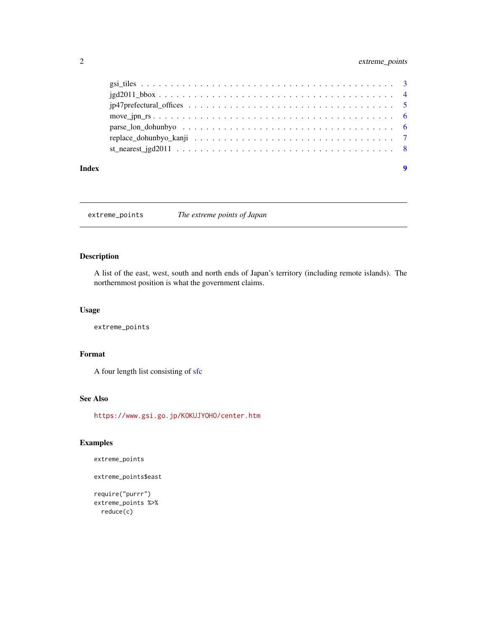# <span id="page-1-0"></span>2 extreme\_points

| $jgd2011_bbox \ldots \ldots \ldots \ldots \ldots \ldots \ldots \ldots \ldots \ldots \ldots \ldots \ldots$ |  |
|-----------------------------------------------------------------------------------------------------------|--|
|                                                                                                           |  |
|                                                                                                           |  |
|                                                                                                           |  |
|                                                                                                           |  |
|                                                                                                           |  |
|                                                                                                           |  |

#### **Index** [9](#page-8-0)

extreme\_points *The extreme points of Japan*

# Description

A list of the east, west, south and north ends of Japan's territory (including remote islands). The northernmost position is what the government claims.

#### Usage

extreme\_points

# Format

A four length list consisting of [sfc](#page-0-0)

# See Also

<https://www.gsi.go.jp/KOKUJYOHO/center.htm>

# Examples

extreme\_points

```
extreme_points$east
```

```
require("purrr")
extreme_points %>%
 reduce(c)
```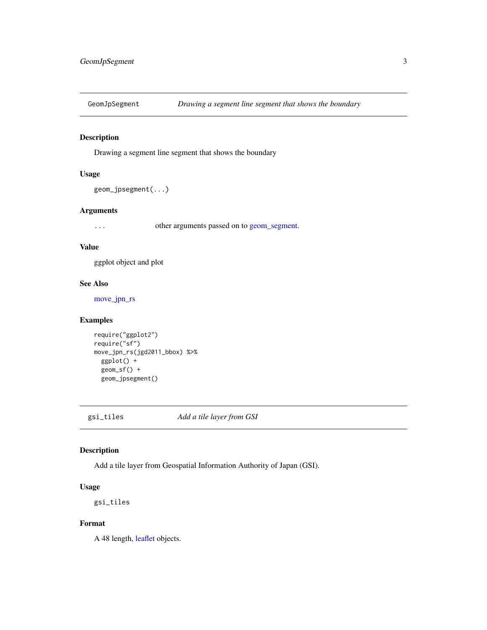<span id="page-2-0"></span>

# Description

Drawing a segment line segment that shows the boundary

#### Usage

```
geom_jpsegment(...)
```
# Arguments

... other arguments passed on to [geom\\_segment.](#page-0-0)

#### Value

ggplot object and plot

# See Also

[move\\_jpn\\_rs](#page-5-1)

# Examples

```
require("ggplot2")
require("sf")
move_jpn_rs(jgd2011_bbox) %>%
  ggplot() +
  geom_sf() +
  geom_jpsegment()
```
gsi\_tiles *Add a tile layer from GSI*

# Description

Add a tile layer from Geospatial Information Authority of Japan (GSI).

#### Usage

gsi\_tiles

#### Format

A 48 length, [leaflet](#page-0-0) objects.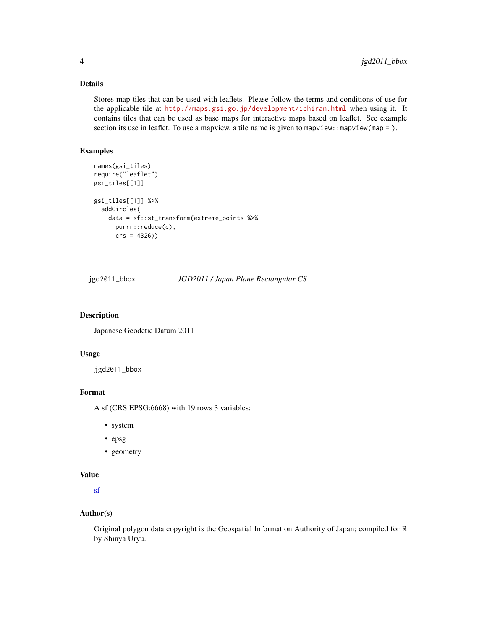# <span id="page-3-0"></span>Details

Stores map tiles that can be used with leaflets. Please follow the terms and conditions of use for the applicable tile at <http://maps.gsi.go.jp/development/ichiran.html> when using it. It contains tiles that can be used as base maps for interactive maps based on leaflet. See example section its use in leaflet. To use a mapview, a tile name is given to mapview: : mapview(map = ).

#### Examples

```
names(gsi_tiles)
require("leaflet")
gsi_tiles[[1]]
gsi_tiles[[1]] %>%
 addCircles(
   data = sf::st_transform(extreme_points %>%
     purrr::reduce(c),
     crs = 4326))
```
jgd2011\_bbox *JGD2011 / Japan Plane Rectangular CS*

# Description

Japanese Geodetic Datum 2011

# Usage

jgd2011\_bbox

#### Format

A sf (CRS EPSG:6668) with 19 rows 3 variables:

- system
- epsg
- geometry

#### Value

[sf](#page-0-0)

#### Author(s)

Original polygon data copyright is the Geospatial Information Authority of Japan; compiled for R by Shinya Uryu.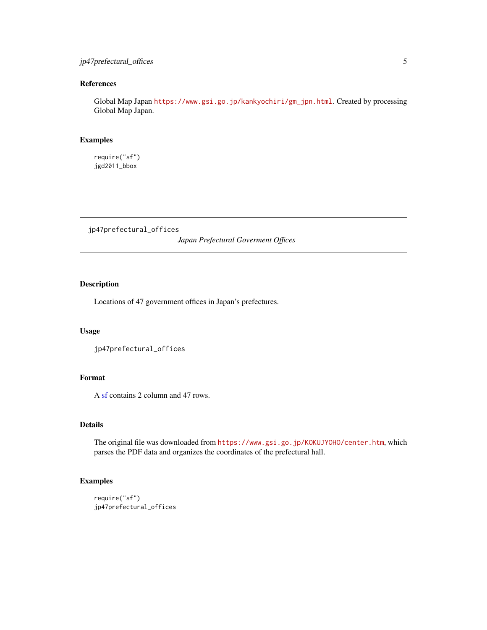# <span id="page-4-0"></span>jp47prefectural\_offices 5

# References

Global Map Japan [https://www.gsi.go.jp/kankyochiri/gm\\_jpn.html](https://www.gsi.go.jp/kankyochiri/gm_jpn.html). Created by processing Global Map Japan.

# Examples

require("sf") jgd2011\_bbox

jp47prefectural\_offices

*Japan Prefectural Goverment Offices*

# Description

Locations of 47 government offices in Japan's prefectures.

#### Usage

```
jp47prefectural_offices
```
# Format

A [sf](#page-0-0) contains 2 column and 47 rows.

# Details

The original file was downloaded from <https://www.gsi.go.jp/KOKUJYOHO/center.htm>, which parses the PDF data and organizes the coordinates of the prefectural hall.

# Examples

```
require("sf")
jp47prefectural_offices
```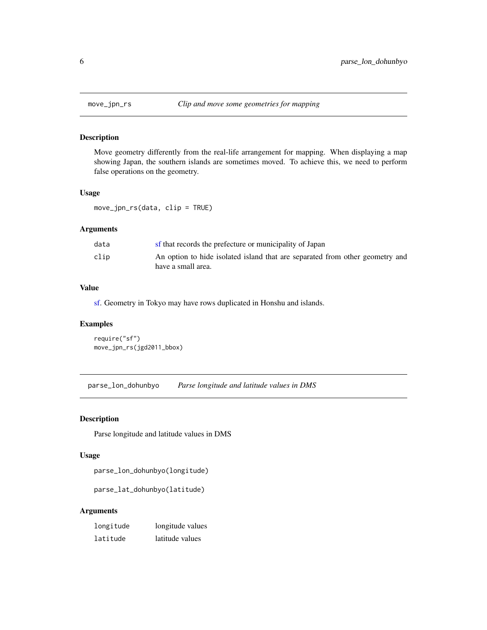<span id="page-5-1"></span><span id="page-5-0"></span>

# Description

Move geometry differently from the real-life arrangement for mapping. When displaying a map showing Japan, the southern islands are sometimes moved. To achieve this, we need to perform false operations on the geometry.

#### Usage

move\_jpn\_rs(data, clip = TRUE)

# Arguments

| data | sf that records the prefecture or municipality of Japan                                            |
|------|----------------------------------------------------------------------------------------------------|
| clip | An option to hide isolated island that are separated from other geometry and<br>have a small area. |

# Value

[sf.](#page-0-0) Geometry in Tokyo may have rows duplicated in Honshu and islands.

# Examples

```
require("sf")
move_jpn_rs(jgd2011_bbox)
```
parse\_lon\_dohunbyo *Parse longitude and latitude values in DMS*

# Description

Parse longitude and latitude values in DMS

#### Usage

parse\_lon\_dohunbyo(longitude)

parse\_lat\_dohunbyo(latitude)

# Arguments

| longitude | longitude values |
|-----------|------------------|
| latitude  | latitude values  |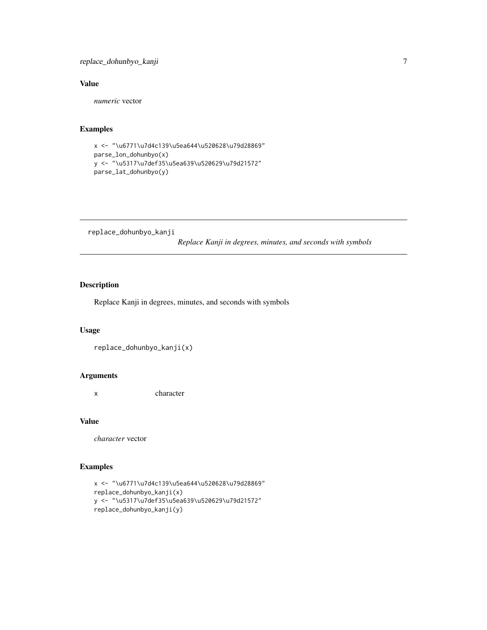# <span id="page-6-0"></span>Value

*numeric* vector

# Examples

```
x <- "\u6771\u7d4c139\u5ea644\u520628\u79d28869"
parse_lon_dohunbyo(x)
y <- "\u5317\u7def35\u5ea639\u520629\u79d21572"
parse_lat_dohunbyo(y)
```
replace\_dohunbyo\_kanji

*Replace Kanji in degrees, minutes, and seconds with symbols*

# Description

Replace Kanji in degrees, minutes, and seconds with symbols

#### Usage

replace\_dohunbyo\_kanji(x)

# Arguments

x character

# Value

*character* vector

# Examples

```
x <- "\u6771\u7d4c139\u5ea644\u520628\u79d28869"
replace_dohunbyo_kanji(x)
y <- "\u5317\u7def35\u5ea639\u520629\u79d21572"
replace_dohunbyo_kanji(y)
```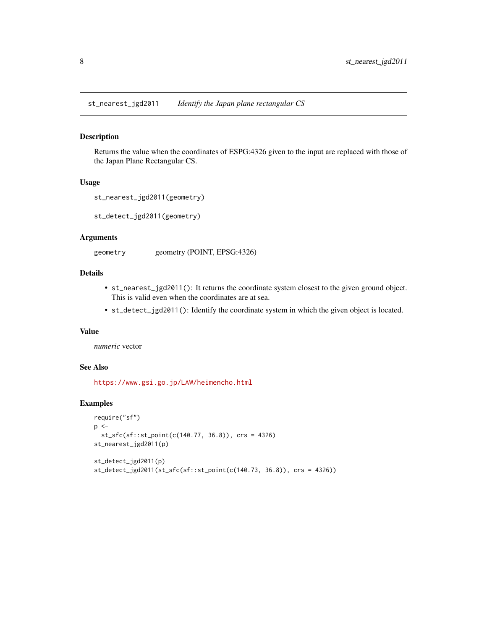<span id="page-7-0"></span>st\_nearest\_jgd2011 *Identify the Japan plane rectangular CS*

#### Description

Returns the value when the coordinates of ESPG:4326 given to the input are replaced with those of the Japan Plane Rectangular CS.

#### Usage

```
st_nearest_jgd2011(geometry)
```
st\_detect\_jgd2011(geometry)

#### Arguments

geometry geometry (POINT, EPSG:4326)

#### Details

- st\_nearest\_jgd2011(): It returns the coordinate system closest to the given ground object. This is valid even when the coordinates are at sea.
- st\_detect\_jgd2011(): Identify the coordinate system in which the given object is located.

#### Value

*numeric* vector

#### See Also

<https://www.gsi.go.jp/LAW/heimencho.html>

# Examples

```
require("sf")
p \leq -st_sfc(sf::st_point(c(140.77, 36.8)), crs = 4326)
st_nearest_jgd2011(p)
st_detect_jgd2011(p)
st_detect_jgd2011(st_sfc(sf::st_point(c(140.73, 36.8)), crs = 4326))
```